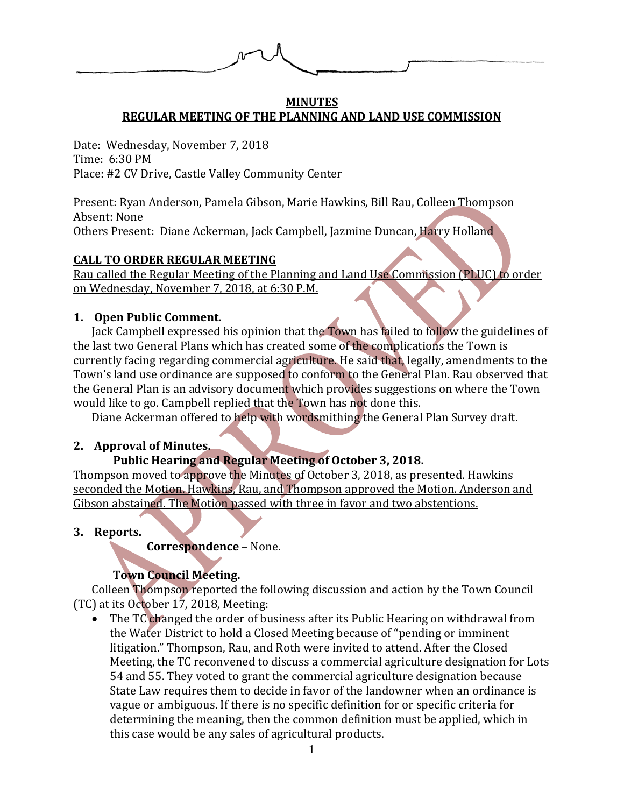

#### **MINUTES REGULAR MEETING OF THE PLANNING AND LAND USE COMMISSION**

Date: Wednesday, November 7, 2018 Time: 6:30 PM Place: #2 CV Drive, Castle Valley Community Center

Present: Ryan Anderson, Pamela Gibson, Marie Hawkins, Bill Rau, Colleen Thompson Absent: None Others Present: Diane Ackerman, Jack Campbell, Jazmine Duncan, Harry Holland

## **CALL TO ORDER REGULAR MEETING**

Rau called the Regular Meeting of the Planning and Land Use Commission (PLUC) to order on Wednesday, November 7, 2018, at 6:30 P.M.

## **1. Open Public Comment.**

Jack Campbell expressed his opinion that the Town has failed to follow the guidelines of the last two General Plans which has created some of the complications the Town is currently facing regarding commercial agriculture. He said that, legally, amendments to the Town's land use ordinance are supposed to conform to the General Plan. Rau observed that the General Plan is an advisory document which provides suggestions on where the Town would like to go. Campbell replied that the Town has not done this.

Diane Ackerman offered to help with wordsmithing the General Plan Survey draft.

## **2. Approval of Minutes.**

# **Public Hearing and Regular Meeting of October 3, 2018.**

Thompson moved to approve the Minutes of October 3, 2018, as presented. Hawkins seconded the Motion. Hawkins, Rau, and Thompson approved the Motion. Anderson and Gibson abstained. The Motion passed with three in favor and two abstentions.

## **3. Reports.**

 **Correspondence** – None.

# **Town Council Meeting.**

Colleen Thompson reported the following discussion and action by the Town Council (TC) at its October 17, 2018, Meeting:

• The TC changed the order of business after its Public Hearing on withdrawal from the Water District to hold a Closed Meeting because of "pending or imminent litigation." Thompson, Rau, and Roth were invited to attend. After the Closed Meeting, the TC reconvened to discuss a commercial agriculture designation for Lots 54 and 55. They voted to grant the commercial agriculture designation because State Law requires them to decide in favor of the landowner when an ordinance is vague or ambiguous. If there is no specific definition for or specific criteria for determining the meaning, then the common definition must be applied, which in this case would be any sales of agricultural products.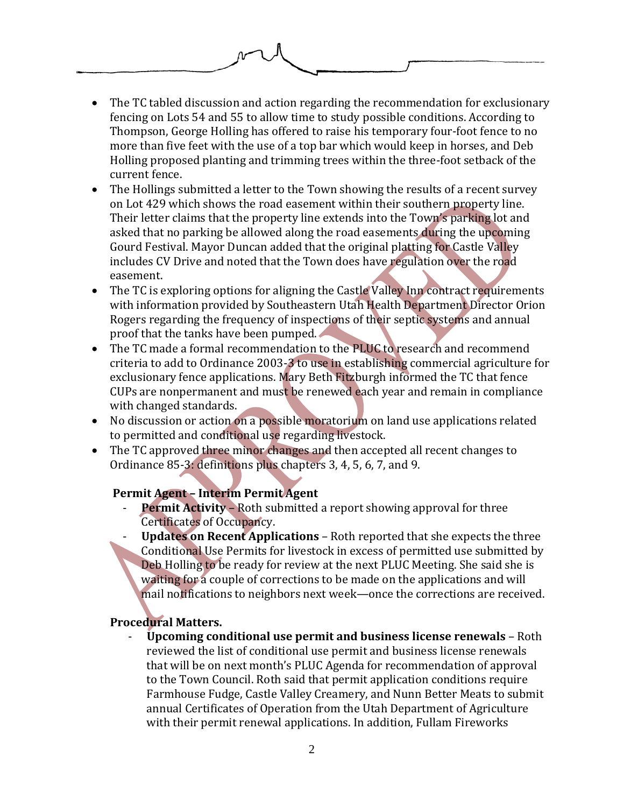

- The TC tabled discussion and action regarding the recommendation for exclusionary fencing on Lots 54 and 55 to allow time to study possible conditions. According to Thompson, George Holling has offered to raise his temporary four-foot fence to no more than five feet with the use of a top bar which would keep in horses, and Deb Holling proposed planting and trimming trees within the three-foot setback of the current fence.
- The Hollings submitted a letter to the Town showing the results of a recent survey on Lot 429 which shows the road easement within their southern property line. Their letter claims that the property line extends into the Town's parking lot and asked that no parking be allowed along the road easements during the upcoming Gourd Festival. Mayor Duncan added that the original platting for Castle Valley includes CV Drive and noted that the Town does have regulation over the road easement.
- The TC is exploring options for aligning the Castle Valley Inn contract requirements with information provided by Southeastern Utah Health Department Director Orion Rogers regarding the frequency of inspections of their septic systems and annual proof that the tanks have been pumped.
- The TC made a formal recommendation to the PLUC to research and recommend criteria to add to Ordinance 2003-3 to use in establishing commercial agriculture for exclusionary fence applications. Mary Beth Fitzburgh informed the TC that fence CUPs are nonpermanent and must be renewed each year and remain in compliance with changed standards.
- No discussion or action on a possible moratorium on land use applications related to permitted and conditional use regarding livestock.
- The TC approved three minor changes and then accepted all recent changes to Ordinance 85-3: definitions plus chapters 3, 4, 5, 6, 7, and 9.

# **Permit Agent – Interim Permit Agent**

- **Permit Activity** Roth submitted a report showing approval for three Certificates of Occupancy.
	- **Updates on Recent Applications**  Roth reported that she expects the three Conditional Use Permits for livestock in excess of permitted use submitted by Deb Holling to be ready for review at the next PLUC Meeting. She said she is waiting for a couple of corrections to be made on the applications and will mail notifications to neighbors next week—once the corrections are received.

# **Procedural Matters.**

- **Upcoming conditional use permit and business license renewals** – Roth reviewed the list of conditional use permit and business license renewals that will be on next month's PLUC Agenda for recommendation of approval to the Town Council. Roth said that permit application conditions require Farmhouse Fudge, Castle Valley Creamery, and Nunn Better Meats to submit annual Certificates of Operation from the Utah Department of Agriculture with their permit renewal applications. In addition, Fullam Fireworks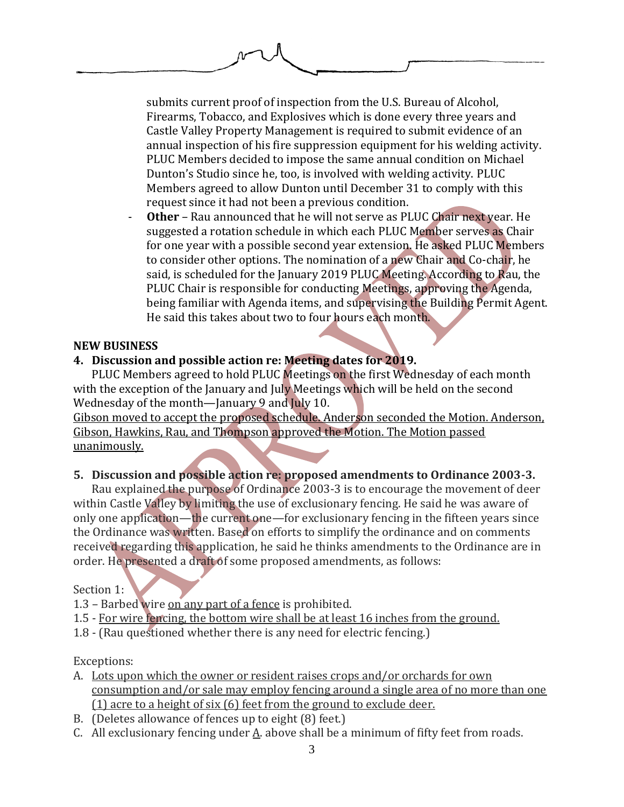submits current proof of inspection from the U.S. Bureau of Alcohol, Firearms, Tobacco, and Explosives which is done every three years and Castle Valley Property Management is required to submit evidence of an annual inspection of his fire suppression equipment for his welding activity. PLUC Members decided to impose the same annual condition on Michael Dunton's Studio since he, too, is involved with welding activity. PLUC Members agreed to allow Dunton until December 31 to comply with this request since it had not been a previous condition.

**Other** – Rau announced that he will not serve as PLUC Chair next year. He suggested a rotation schedule in which each PLUC Member serves as Chair for one year with a possible second year extension. He asked PLUC Members to consider other options. The nomination of a new Chair and Co-chair, he said, is scheduled for the January 2019 PLUC Meeting. According to Rau, the PLUC Chair is responsible for conducting Meetings, approving the Agenda, being familiar with Agenda items, and supervising the Building Permit Agent. He said this takes about two to four hours each month.

#### **NEW BUSINESS**

## **4. Discussion and possible action re: Meeting dates for 2019.**

PLUC Members agreed to hold PLUC Meetings on the first Wednesday of each month with the exception of the January and July Meetings which will be held on the second Wednesday of the month—January 9 and July 10.

Gibson moved to accept the proposed schedule. Anderson seconded the Motion. Anderson, Gibson, Hawkins, Rau, and Thompson approved the Motion. The Motion passed unanimously.

# **5. Discussion and possible action re: proposed amendments to Ordinance 2003-3.**

Rau explained the purpose of Ordinance 2003-3 is to encourage the movement of deer within Castle Valley by limiting the use of exclusionary fencing. He said he was aware of only one application—the current one—for exclusionary fencing in the fifteen years since the Ordinance was written. Based on efforts to simplify the ordinance and on comments received regarding this application, he said he thinks amendments to the Ordinance are in order. He presented a draft of some proposed amendments, as follows:

## Section 1:

- 1.3 Barbed wire on any part of a fence is prohibited.
- 1.5 For wire fencing, the bottom wire shall be at least 16 inches from the ground.
- 1.8 (Rau questioned whether there is any need for electric fencing.)

## Exceptions:

- A. Lots upon which the owner or resident raises crops and/or orchards for own consumption and/or sale may employ fencing around a single area of no more than one (1) acre to a height of six (6) feet from the ground to exclude deer.
- B. (Deletes allowance of fences up to eight (8) feet.)
- C. All exclusionary fencing under  $\underline{A}$ . above shall be a minimum of fifty feet from roads.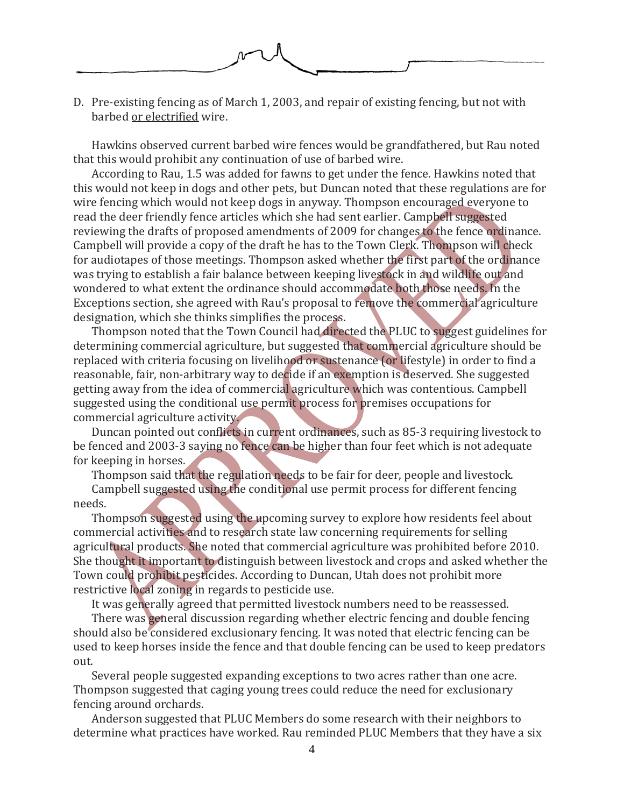

D. Pre-existing fencing as of March 1, 2003, and repair of existing fencing, but not with barbed or electrified wire.

Hawkins observed current barbed wire fences would be grandfathered, but Rau noted that this would prohibit any continuation of use of barbed wire.

According to Rau, 1.5 was added for fawns to get under the fence. Hawkins noted that this would not keep in dogs and other pets, but Duncan noted that these regulations are for wire fencing which would not keep dogs in anyway. Thompson encouraged everyone to read the deer friendly fence articles which she had sent earlier. Campbell suggested reviewing the drafts of proposed amendments of 2009 for changes to the fence ordinance. Campbell will provide a copy of the draft he has to the Town Clerk. Thompson will check for audiotapes of those meetings. Thompson asked whether the first part of the ordinance was trying to establish a fair balance between keeping livestock in and wildlife out and wondered to what extent the ordinance should accommodate both those needs. In the Exceptions section, she agreed with Rau's proposal to remove the commercial agriculture designation, which she thinks simplifies the process.

Thompson noted that the Town Council had directed the PLUC to suggest guidelines for determining commercial agriculture, but suggested that commercial agriculture should be replaced with criteria focusing on livelihood or sustenance (or lifestyle) in order to find a reasonable, fair, non-arbitrary way to decide if an exemption is deserved. She suggested getting away from the idea of commercial agriculture which was contentious. Campbell suggested using the conditional use permit process for premises occupations for commercial agriculture activity.

Duncan pointed out conflicts in current ordinances, such as 85-3 requiring livestock to be fenced and 2003-3 saying no fence can be higher than four feet which is not adequate for keeping in horses.

Thompson said that the regulation needs to be fair for deer, people and livestock. Campbell suggested using the conditional use permit process for different fencing needs.

Thompson suggested using the upcoming survey to explore how residents feel about commercial activities and to research state law concerning requirements for selling agricultural products. She noted that commercial agriculture was prohibited before 2010. She thought it important to distinguish between livestock and crops and asked whether the Town could prohibit pesticides. According to Duncan, Utah does not prohibit more restrictive local zoning in regards to pesticide use.

It was generally agreed that permitted livestock numbers need to be reassessed.

There was general discussion regarding whether electric fencing and double fencing should also be considered exclusionary fencing. It was noted that electric fencing can be used to keep horses inside the fence and that double fencing can be used to keep predators out.

Several people suggested expanding exceptions to two acres rather than one acre. Thompson suggested that caging young trees could reduce the need for exclusionary fencing around orchards.

Anderson suggested that PLUC Members do some research with their neighbors to determine what practices have worked. Rau reminded PLUC Members that they have a six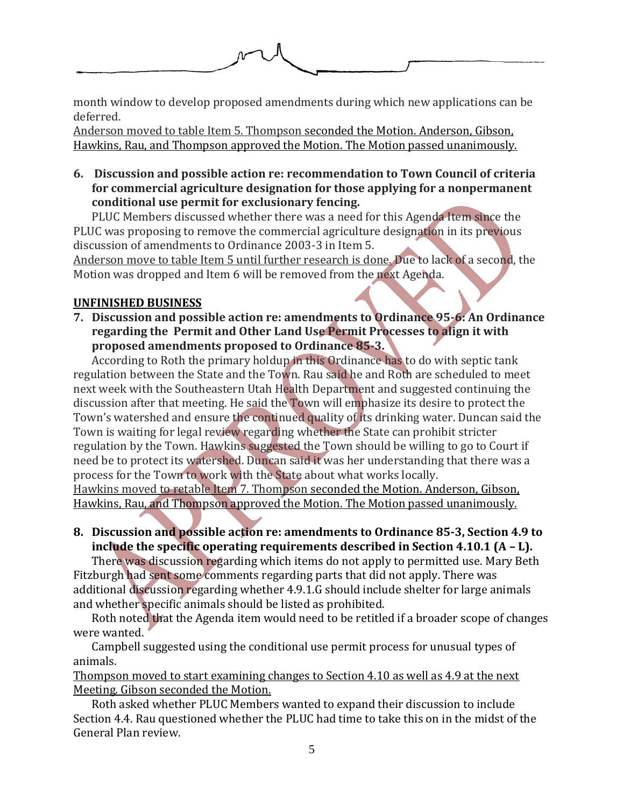

month window to develop proposed amendments during which new applications can be deferred.

Anderson moved to table Item 5. Thompson seconded the Motion. Anderson, Gibson, Hawkins, Rau, and Thompson approved the Motion. The Motion passed unanimously.

## **6. Discussion and possible action re: recommendation to Town Council of criteria for commercial agriculture designation for those applying for a nonpermanent conditional use permit for exclusionary fencing.**

PLUC Members discussed whether there was a need for this Agenda Item since the PLUC was proposing to remove the commercial agriculture designation in its previous discussion of amendments to Ordinance 2003-3 in Item 5.

Anderson move to table Item 5 until further research is done. Due to lack of a second, the Motion was dropped and Item 6 will be removed from the next Agenda.

# **UNFINISHED BUSINESS**

**7. Discussion and possible action re: amendments to Ordinance 95-6: An Ordinance regarding the Permit and Other Land Use Permit Processes to align it with proposed amendments proposed to Ordinance 85-3.**

According to Roth the primary holdup in this Ordinance has to do with septic tank regulation between the State and the Town. Rau said he and Roth are scheduled to meet next week with the Southeastern Utah Health Department and suggested continuing the discussion after that meeting. He said the Town will emphasize its desire to protect the Town's watershed and ensure the continued quality of its drinking water. Duncan said the Town is waiting for legal review regarding whether the State can prohibit stricter regulation by the Town. Hawkins suggested the Town should be willing to go to Court if need be to protect its watershed. Duncan said it was her understanding that there was a process for the Town to work with the State about what works locally. Hawkins moved to retable Item 7. Thompson seconded the Motion. Anderson, Gibson, Hawkins, Rau, and Thompson approved the Motion. The Motion passed unanimously.

## **8. Discussion and possible action re: amendments to Ordinance 85-3, Section 4.9 to include the specific operating requirements described in Section 4.10.1 (A – L).**

There was discussion regarding which items do not apply to permitted use. Mary Beth Fitzburgh had sent some comments regarding parts that did not apply. There was additional discussion regarding whether 4.9.1.G should include shelter for large animals and whether specific animals should be listed as prohibited.

Roth noted that the Agenda item would need to be retitled if a broader scope of changes were wanted.

Campbell suggested using the conditional use permit process for unusual types of animals.

Thompson moved to start examining changes to Section 4.10 as well as 4.9 at the next Meeting. Gibson seconded the Motion.

Roth asked whether PLUC Members wanted to expand their discussion to include Section 4.4. Rau questioned whether the PLUC had time to take this on in the midst of the General Plan review.